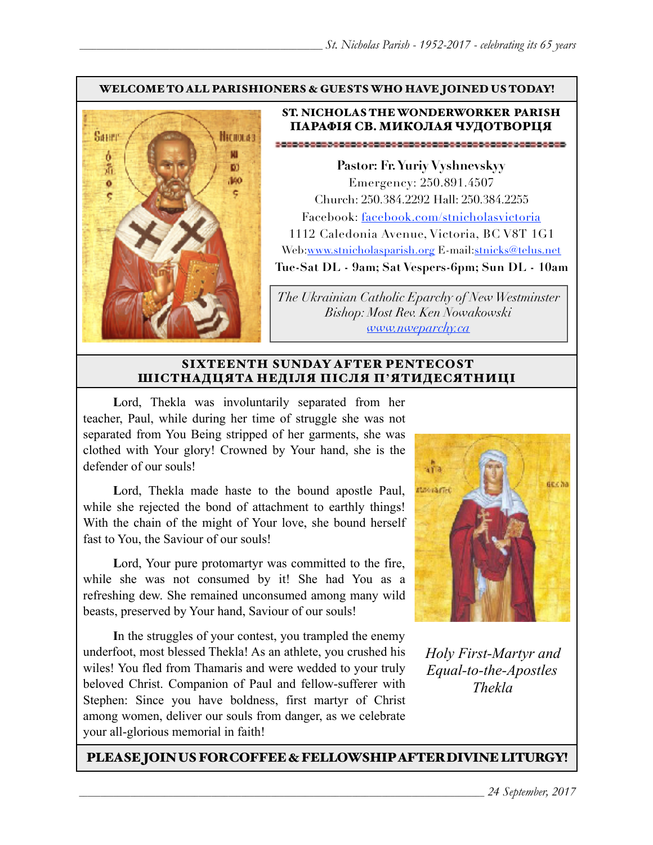#### WELCOME TO ALL PARISHIONERS & GUESTS WHO HAVE JOINED US TODAY!



### ST. NICHOLAS THE WONDERWORKER PARISH ПАРАФІЯ СВ. МИКОЛАЯ ЧУДОТВОРЦЯ

**Pastor: Fr. Yuriy Vyshnevskyy** Emergency: 250.891.4507 Church: 250.384.2292 Hall: 250.384.2255 Facebook: facebook.com/stnicholasvictoria 1112 Caledonia Avenue, Victoria, BC V8T 1G1 Web[:www.stnicholasparish.org](http://www.stnicholasparish.org) E-mail:[stnicks@telus.net](mailto:stnicks@telus.net) **Tue-Sat DL - 9am; Sat Vespers-6pm; Sun DL - 10am**

*The Ukrainian Catholic Eparchy of New Westminster Bishop: Most Rev. Ken Nowakowski [www.nweparchy.ca](http://www.nweparchy.ca)*

#### SIXTEENTH SUNDAY AFTER PENTECOST ШІСТНАДЦЯТА НЕДІЛЯ ПІСЛЯ П**'**ЯТИДЕСЯТНИЦІ

**L**ord, Thekla was involuntarily separated from her teacher, Paul, while during her time of struggle she was not separated from You Being stripped of her garments, she was clothed with Your glory! Crowned by Your hand, she is the defender of our souls!

Lord, Thekla made haste to the bound apostle Paul, while she rejected the bond of attachment to earthly things! With the chain of the might of Your love, she bound herself fast to You, the Saviour of our souls!

Lord, Your pure protomartyr was committed to the fire, while she was not consumed by it! She had You as a refreshing dew. She remained unconsumed among many wild beasts, preserved by Your hand, Saviour of our souls!

**I**n the struggles of your contest, you trampled the enemy underfoot, most blessed Thekla! As an athlete, you crushed his wiles! You fled from Thamaris and were wedded to your truly beloved Christ. Companion of Paul and fellow-sufferer with Stephen: Since you have boldness, first martyr of Christ among women, deliver our souls from danger, as we celebrate your all-glorious memorial in faith!



*Holy First-Martyr and Equal-to-the-Apostles Thekla*

#### PLEASE JOIN US FOR COFFEE & FELLOWSHIP AFTER DIVINE LITURGY!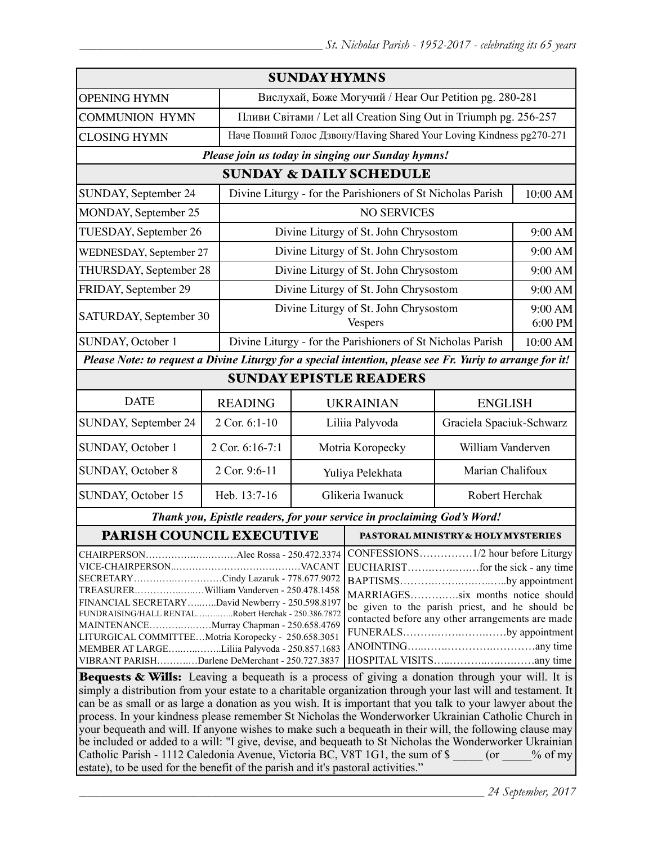| <b>SUNDAY HYMNS</b>                                                                                                   |                                                      |                                                                  |                                                                                                                |                                                             |                   |  |  |
|-----------------------------------------------------------------------------------------------------------------------|------------------------------------------------------|------------------------------------------------------------------|----------------------------------------------------------------------------------------------------------------|-------------------------------------------------------------|-------------------|--|--|
| <b>OPENING HYMN</b>                                                                                                   |                                                      | Вислухай, Боже Могучий / Hear Our Petition pg. 280-281           |                                                                                                                |                                                             |                   |  |  |
| <b>COMMUNION HYMN</b>                                                                                                 |                                                      | Пливи Світами / Let all Creation Sing Out in Triumph pg. 256-257 |                                                                                                                |                                                             |                   |  |  |
|                                                                                                                       |                                                      |                                                                  |                                                                                                                |                                                             |                   |  |  |
| Наче Повний Голос Дзвону/Having Shared Your Loving Kindness pg270-271<br><b>CLOSING HYMN</b>                          |                                                      |                                                                  |                                                                                                                |                                                             |                   |  |  |
| Please join us today in singing our Sunday hymns!                                                                     |                                                      |                                                                  |                                                                                                                |                                                             |                   |  |  |
| <b>SUNDAY &amp; DAILY SCHEDULE</b>                                                                                    |                                                      |                                                                  |                                                                                                                |                                                             |                   |  |  |
| SUNDAY, September 24                                                                                                  |                                                      |                                                                  | Divine Liturgy - for the Parishioners of St Nicholas Parish<br>10:00 AM                                        |                                                             |                   |  |  |
| MONDAY, September 25                                                                                                  |                                                      |                                                                  |                                                                                                                | <b>NO SERVICES</b>                                          |                   |  |  |
| TUESDAY, September 26                                                                                                 |                                                      |                                                                  | Divine Liturgy of St. John Chrysostom                                                                          | 9:00 AM                                                     |                   |  |  |
| WEDNESDAY, September 27                                                                                               |                                                      | Divine Liturgy of St. John Chrysostom                            |                                                                                                                |                                                             | 9:00 AM           |  |  |
| THURSDAY, September 28                                                                                                |                                                      |                                                                  |                                                                                                                | Divine Liturgy of St. John Chrysostom                       |                   |  |  |
| FRIDAY, September 29                                                                                                  |                                                      | Divine Liturgy of St. John Chrysostom                            |                                                                                                                |                                                             | 9:00 AM           |  |  |
| SATURDAY, September 30                                                                                                |                                                      |                                                                  |                                                                                                                | Divine Liturgy of St. John Chrysostom<br><b>Vespers</b>     |                   |  |  |
| SUNDAY, October 1                                                                                                     |                                                      |                                                                  |                                                                                                                | Divine Liturgy - for the Parishioners of St Nicholas Parish |                   |  |  |
| 10:00 AM<br>Please Note: to request a Divine Liturgy for a special intention, please see Fr. Yuriy to arrange for it! |                                                      |                                                                  |                                                                                                                |                                                             |                   |  |  |
| <b>SUNDAY EPISTLE READERS</b>                                                                                         |                                                      |                                                                  |                                                                                                                |                                                             |                   |  |  |
| <b>DATE</b>                                                                                                           | <b>READING</b><br><b>UKRAINIAN</b><br><b>ENGLISH</b> |                                                                  |                                                                                                                |                                                             |                   |  |  |
| SUNDAY, September 24                                                                                                  | 2 Cor. 6:1-10                                        |                                                                  | Liliia Palyvoda                                                                                                | Graciela Spaciuk-Schwarz                                    |                   |  |  |
|                                                                                                                       |                                                      |                                                                  |                                                                                                                |                                                             |                   |  |  |
| SUNDAY, October 1                                                                                                     | 2 Cor. 6:16-7:1                                      | Motria Koropecky                                                 |                                                                                                                |                                                             | William Vanderven |  |  |
| SUNDAY, October 8                                                                                                     | 2 Cor. 9:6-11                                        | Yuliya Pelekhata                                                 |                                                                                                                | Marian Chalifoux                                            |                   |  |  |
| SUNDAY, October 15                                                                                                    | Heb. 13:7-16                                         | Glikeria Iwanuck<br>Robert Herchak                               |                                                                                                                |                                                             |                   |  |  |
| Thank you, Epistle readers, for your service in proclaiming God's Word!                                               |                                                      |                                                                  |                                                                                                                |                                                             |                   |  |  |
| <b>PARISH COUNCIL EXECUTIVE</b>                                                                                       |                                                      |                                                                  | <b>PASTORAL MINISTRY &amp; HOLY MYSTERIES</b>                                                                  |                                                             |                   |  |  |
| CHAIRPERSONAlec Rossa - 250.472.3374<br>SECRETARYCindy Lazaruk - 778.677.9072                                         |                                                      |                                                                  |                                                                                                                |                                                             |                   |  |  |
| TREASURERWilliam Vanderven - 250.478.1458<br>FINANCIAL SECRETARYDavid Newberry - 250.598.8197                         |                                                      |                                                                  | BAPTISMSby appointment<br>MARRIAGESsix months notice should<br>be given to the parish priest, and he should be |                                                             |                   |  |  |
| FUNDRAISING/HALL RENTALRobert Herchak - 250.386.7872                                                                  |                                                      |                                                                  | contacted before any other arrangements are made                                                               |                                                             |                   |  |  |
| MAINTENANCEMurray Chapman - 250.658.4769<br>LITURGICAL COMMITTEEMotria Koropecky - 250.658.3051                       |                                                      |                                                                  | FUNERALSby appointment                                                                                         |                                                             |                   |  |  |
| MEMBER AT LARGELiliia Palyvoda - 250.857.1683                                                                         |                                                      |                                                                  |                                                                                                                |                                                             |                   |  |  |
| VIBRANT PARISHDarlene DeMerchant - 250.727.3837                                                                       |                                                      |                                                                  |                                                                                                                |                                                             |                   |  |  |
| <b>Bequests &amp; Wills:</b> Leaving a bequeath is a process of giving a donation through your will. It is            |                                                      |                                                                  |                                                                                                                |                                                             |                   |  |  |

simply a distribution from your estate to a charitable organization through your last will and testament. It can be as small or as large a donation as you wish. It is important that you talk to your lawyer about the process. In your kindness please remember St Nicholas the Wonderworker Ukrainian Catholic Church in your bequeath and will. If anyone wishes to make such a bequeath in their will, the following clause may be included or added to a will: "I give, devise, and bequeath to St Nicholas the Wonderworker Ukrainian Catholic Parish - 1112 Caledonia Avenue, Victoria BC, V8T 1G1, the sum of \$  $\qquad \qquad$  (or  $\qquad \qquad$  % of my estate), to be used for the benefit of the parish and it's pastoral activities."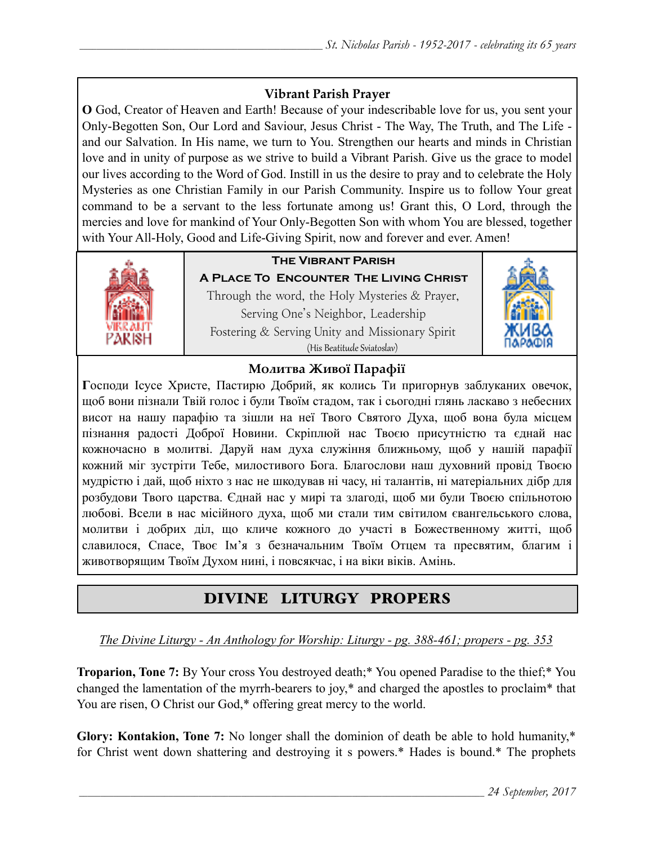## **Vibrant Parish Prayer**

**O** God, Creator of Heaven and Earth! Because of your indescribable love for us, you sent your Only-Begotten Son, Our Lord and Saviour, Jesus Christ - The Way, The Truth, and The Life and our Salvation. In His name, we turn to You. Strengthen our hearts and minds in Christian love and in unity of purpose as we strive to build a Vibrant Parish. Give us the grace to model our lives according to the Word of God. Instill in us the desire to pray and to celebrate the Holy Mysteries as one Christian Family in our Parish Community. Inspire us to follow Your great command to be a servant to the less fortunate among us! Grant this, O Lord, through the mercies and love for mankind of Your Only-Begotten Son with whom You are blessed, together with Your All-Holy, Good and Life-Giving Spirit, now and forever and ever. Amen!



## **The Vibrant Parish**

**A Place To Encounter The Living Christ** Through the word, the Holy Mysteries & Prayer, Serving One's Neighbor, Leadership Fostering & Serving Unity and Missionary Spirit (His Beatitude Sviatoslav)



### **Молитва Живої Парафії**

**Г**осподи Ісусе Христе, Пастирю Добрий, як колись Ти пригорнув заблуканих овечок, щоб вони пізнали Твій голос і були Твоїм стадом, так і сьогодні глянь ласкаво з небесних висот на нашу парафію та зішли на неї Твого Святого Духа, щоб вона була місцем пізнання радості Доброї Новини. Скріплюй нас Твоєю присутністю та єднай нас кожночасно в молитві. Даруй нам духа служіння ближньому, щоб у нашій парафії кожний міг зустріти Тебе, милостивого Бога. Благослови наш духовний провід Твоєю мудрістю і дай, щоб ніхто з нас не шкодував ні часу, ні талантів, ні матеріальних дібр для розбудови Твого царства. Єднай нас у мирі та злагоді, щоб ми були Твоєю спільнотою любові. Всели в нас місійного духа, щоб ми стали тим світилом євангельського слова, молитви і добрих діл, що кличе кожного до участі в Божественному житті, щоб славилося, Спасе, Твоє Ім'я з безначальним Твоїм Отцем та пресвятим, благим і животворящим Твоїм Духом нині, і повсякчас, і на віки віків. Амінь.

# DIVINE LITURGY PROPERS

*The Divine Liturgy - An Anthology for Worship: Liturgy - pg. 388-461; propers - pg. 353* 

**Troparion, Tone 7:** By Your cross You destroyed death;\* You opened Paradise to the thief;\* You changed the lamentation of the myrrh-bearers to joy,\* and charged the apostles to proclaim\* that You are risen, O Christ our God,\* offering great mercy to the world.

**Glory: Kontakion, Tone 7:** No longer shall the dominion of death be able to hold humanity,\* for Christ went down shattering and destroying it s powers.\* Hades is bound.\* The prophets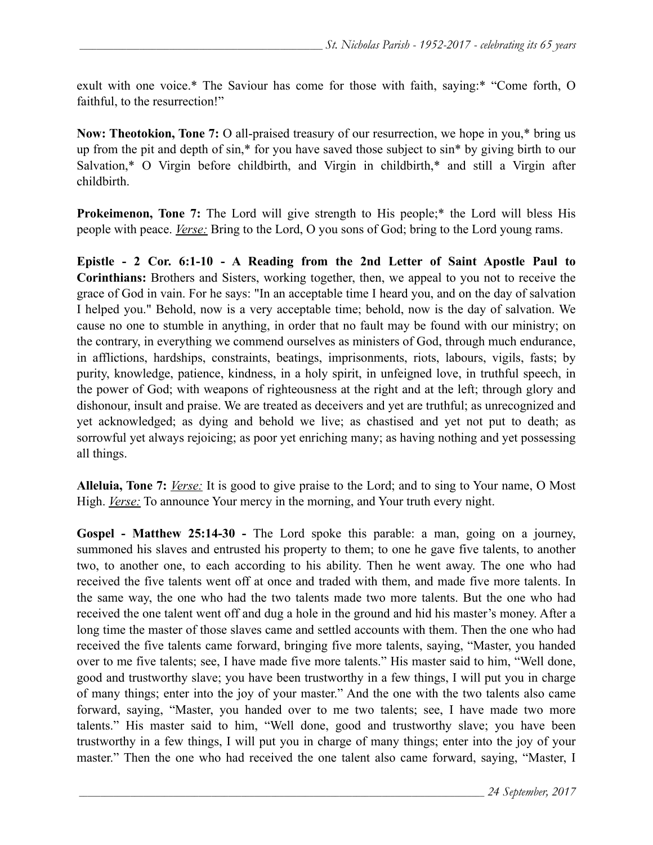exult with one voice.\* The Saviour has come for those with faith, saying:\* "Come forth, O faithful, to the resurrection!"

**Now: Theotokion, Tone 7:** O all-praised treasury of our resurrection, we hope in you,\* bring us up from the pit and depth of sin,\* for you have saved those subject to sin\* by giving birth to our Salvation,\* O Virgin before childbirth, and Virgin in childbirth,\* and still a Virgin after childbirth.

**Prokeimenon, Tone 7:** The Lord will give strength to His people;<sup>\*</sup> the Lord will bless His people with peace. *Verse:* Bring to the Lord, O you sons of God; bring to the Lord young rams.

**Epistle - 2 Cor. 6:1-10 - A Reading from the 2nd Letter of Saint Apostle Paul to Corinthians:** Brothers and Sisters, working together, then, we appeal to you not to receive the grace of God in vain. For he says: "In an acceptable time I heard you, and on the day of salvation I helped you." Behold, now is a very acceptable time; behold, now is the day of salvation. We cause no one to stumble in anything, in order that no fault may be found with our ministry; on the contrary, in everything we commend ourselves as ministers of God, through much endurance, in afflictions, hardships, constraints, beatings, imprisonments, riots, labours, vigils, fasts; by purity, knowledge, patience, kindness, in a holy spirit, in unfeigned love, in truthful speech, in the power of God; with weapons of righteousness at the right and at the left; through glory and dishonour, insult and praise. We are treated as deceivers and yet are truthful; as unrecognized and yet acknowledged; as dying and behold we live; as chastised and yet not put to death; as sorrowful yet always rejoicing; as poor yet enriching many; as having nothing and yet possessing all things.

**Alleluia, Tone 7:** *Verse:* It is good to give praise to the Lord; and to sing to Your name, O Most High. *Verse:* To announce Your mercy in the morning, and Your truth every night.

**Gospel - Matthew 25:14-30 -** The Lord spoke this parable: a man, going on a journey, summoned his slaves and entrusted his property to them; to one he gave five talents, to another two, to another one, to each according to his ability. Then he went away. The one who had received the five talents went off at once and traded with them, and made five more talents. In the same way, the one who had the two talents made two more talents. But the one who had received the one talent went off and dug a hole in the ground and hid his master's money. After a long time the master of those slaves came and settled accounts with them. Then the one who had received the five talents came forward, bringing five more talents, saying, "Master, you handed over to me five talents; see, I have made five more talents." His master said to him, "Well done, good and trustworthy slave; you have been trustworthy in a few things, I will put you in charge of many things; enter into the joy of your master." And the one with the two talents also came forward, saying, "Master, you handed over to me two talents; see, I have made two more talents." His master said to him, "Well done, good and trustworthy slave; you have been trustworthy in a few things, I will put you in charge of many things; enter into the joy of your master." Then the one who had received the one talent also came forward, saying, "Master, I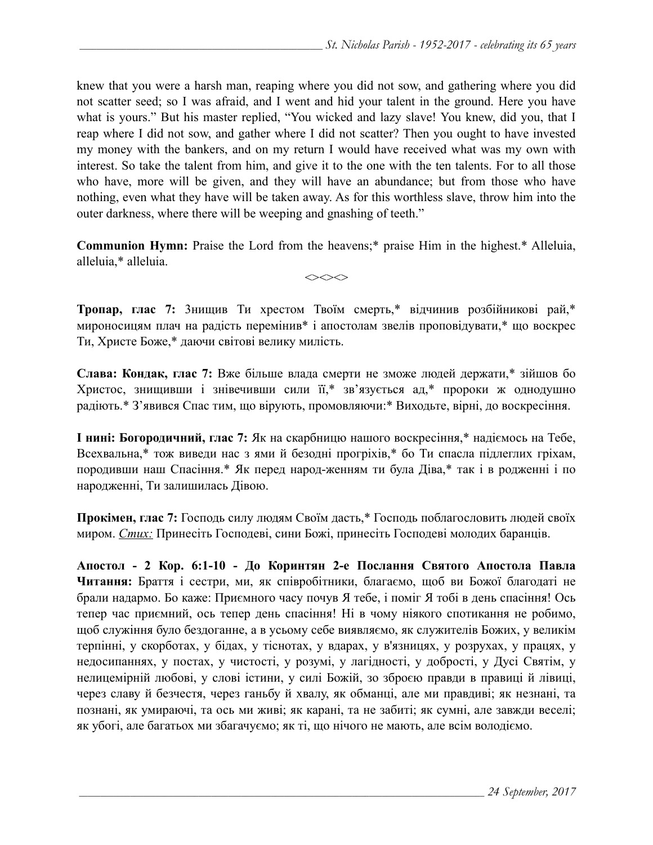knew that you were a harsh man, reaping where you did not sow, and gathering where you did not scatter seed; so I was afraid, and I went and hid your talent in the ground. Here you have what is yours." But his master replied, "You wicked and lazy slave! You knew, did you, that I reap where I did not sow, and gather where I did not scatter? Then you ought to have invested my money with the bankers, and on my return I would have received what was my own with interest. So take the talent from him, and give it to the one with the ten talents. For to all those who have, more will be given, and they will have an abundance; but from those who have nothing, even what they have will be taken away. As for this worthless slave, throw him into the outer darkness, where there will be weeping and gnashing of teeth."

**Communion Hymn:** Praise the Lord from the heavens;\* praise Him in the highest.\* Alleluia, alleluia,\* alleluia.

 $\curvearrowright$ 

**Тропар, глас 7:** 3нищив Ти хрестом Твоїм смерть,\* відчинив розбійникові рай,\* мироносицям плач на радість перемінив\* і апостолам звелів проповідувати,\* що воскрес Ти, Христе Боже,\* даючи світові велику милість.

**Слава: Кондак, глас 7:** Вже більше влада смерти не зможе людей держати,\* зійшов бо Христос, знищивши і знівечивши сили її,\* зв'язується ад,\* пророки ж однодушно радіють.\* З'явився Спас тим, що вірують, промовляючи:\* Виходьте, вірні, до воскресіння.

**І нині: Богородичний, глас 7:** Як на скарбницю нашого воскресіння,\* надіємось на Тебе, Всехвальна,\* тож виведи нас з ями й безодні прогріхів,\* бо Ти спасла підлеглих гріхам, породивши наш Спасіння.\* Як перед народ-женням ти була Діва,\* так і в родженні і по народженні, Ти залишилась Дівою.

**Прокімен, глас 7:** Господь силу людям Своїм дасть,\* Господь поблагословить людей своїх миром. *Стих:* Принесіть Господеві, сини Божі, принесіть Господеві молодих баранців.

**Апостол - 2 Кор. 6:1-10 - До Коринтян 2-e Послання Святого Апостола Павла Читання:** Браття і сестри, ми, як співробітники, благаємо, щоб ви Божої благодаті не брали надармо. Бо каже: Приємного часу почув Я тебе, і поміг Я тобі в день спасіння! Ось тепер час приємний, ось тепер день спасіння! Ні в чому ніякого спотикання не робимо, щоб служіння було бездоганне, а в усьому себе виявляємо, як служителів Божих, у великім терпінні, у скорботах, у бідах, у тіснотах, у вдарах, у в'язницях, у розрухах, у працях, у недосипаннях, у постах, у чистості, у розумі, у лагідності, у добрості, у Дусі Святім, у нелицемірній любові, у слові істини, у силі Божій, зо зброєю правди в правиці й лівиці, через славу й безчестя, через ганьбу й хвалу, як обманці, але ми правдиві; як незнані, та познані, як умираючі, та ось ми живі; як карані, та не забиті; як сумні, але завжди веселі; як убогі, але багатьох ми збагачуємо; як ті, що нічого не мають, але всім володіємо.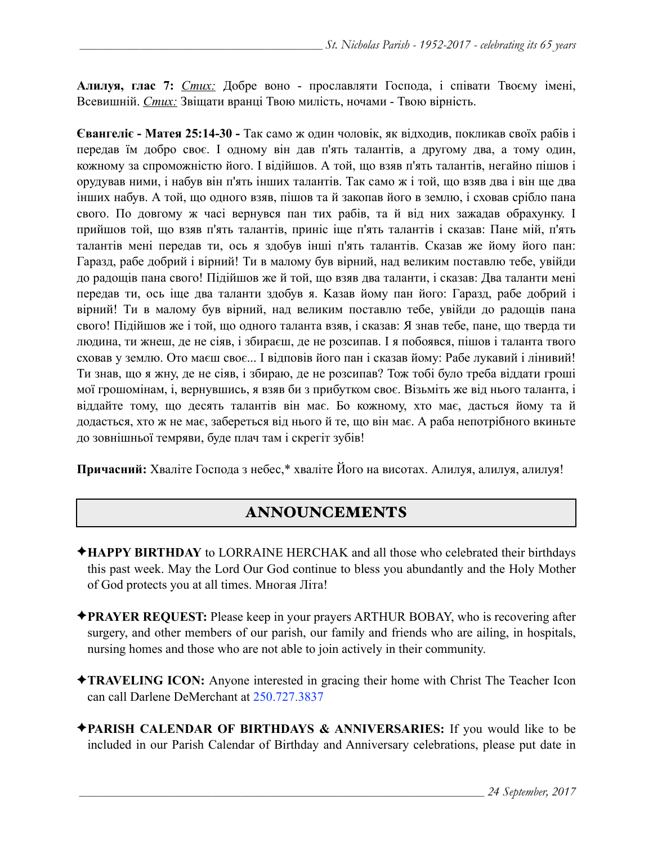**Алилуя, глас 7:** *Стих:* Добре воно - прославляти Господа, і співати Твоєму імені, Всевишній. *Стих:* Звіщати вранці Твою милість, ночами - Твою вірність.

**Євангеліє - Матея 25:14-30 -** Так само ж один чоловік, як відходив, покликав своїх рабів і передав їм добро своє. І одному він дав п'ять талантів, а другому два, а тому один, кожному за спроможністю його. І відійшов. А той, що взяв п'ять талантів, негайно пішов і орудував ними, і набув він п'ять інших талантів. Так само ж і той, що взяв два і він ще два інших набув. А той, що одного взяв, пішов та й закопав його в землю, і сховав срібло пана свого. По довгому ж часі вернувся пан тих рабів, та й від них зажадав обрахунку. І прийшов той, що взяв п'ять талантів, приніс іще п'ять талантів і сказав: Пане мій, п'ять талантів мені передав ти, ось я здобув інші п'ять талантів. Сказав же йому його пан: Гаразд, рабе добрий і вірний! Ти в малому був вірний, над великим поставлю тебе, увійди до радощів пана свого! Підійшов же й той, що взяв два таланти, і сказав: Два таланти мені передав ти, ось іще два таланти здобув я. Kазав йому пан його: Гаразд, рабе добрий і вірний! Ти в малому був вірний, над великим поставлю тебе, увійди до радощів пана свого! Підійшов же і той, що одного таланта взяв, і сказав: Я знав тебе, пане, що тверда ти людина, ти жнеш, де не сіяв, і збираєш, де не розсипав. І я побоявся, пішов і таланта твого сховав у землю. Ото маєш своє... І відповів його пан і сказав йому: Рабе лукавий і лінивий! Ти знав, що я жну, де не сіяв, і збираю, де не розсипав? Тож тобі було треба віддати гроші мої грошомінам, і, вернувшись, я взяв би з прибутком своє. Візьміть же від нього таланта, і віддайте тому, що десять талантів він має. Бо кожному, хто має, дасться йому та й додасться, хто ж не має, забереться від нього й те, що він має. А раба непотрібного вкиньте до зовнішньої темряви, буде плач там і скрегіт зубів!

**Причасний:** Хваліте Господа з небес,\* хваліте Його на висотах. Алилуя, алилуя, алилуя!

# ANNOUNCEMENTS

- ✦**HAPPY BIRTHDAY** to LORRAINE HERCHAK and all those who celebrated their birthdays this past week. May the Lord Our God continue to bless you abundantly and the Holy Mother of God protects you at all times. Многая Літа!
- ✦**PRAYER REQUEST:** Please keep in your prayers ARTHUR BOBAY, who is recovering after surgery, and other members of our parish, our family and friends who are ailing, in hospitals, nursing homes and those who are not able to join actively in their community.
- ✦**TRAVELING ICON:** Anyone interested in gracing their home with Christ The Teacher Icon can call Darlene DeMerchant at 250.727.3837
- ✦**PARISH CALENDAR OF BIRTHDAYS & ANNIVERSARIES:** If you would like to be included in our Parish Calendar of Birthday and Anniversary celebrations, please put date in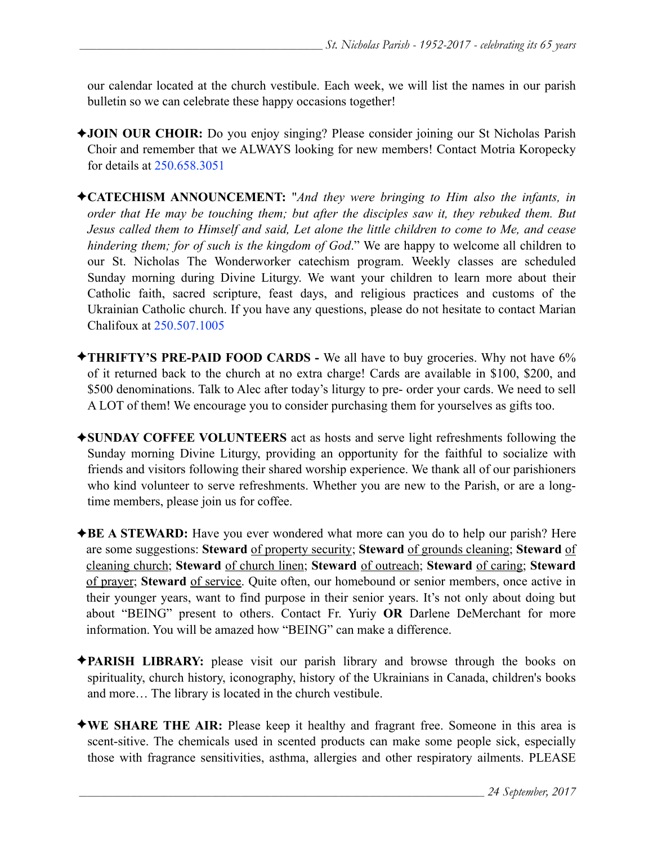our calendar located at the church vestibule. Each week, we will list the names in our parish bulletin so we can celebrate these happy occasions together!

- ✦**JOIN OUR CHOIR:** Do you enjoy singing? Please consider joining our St Nicholas Parish Choir and remember that we ALWAYS looking for new members! Contact Motria Koropecky for details at 250.658.3051
- ✦**CATECHISM ANNOUNCEMENT:** "*And they were bringing to Him also the infants, in order that He may be touching them; but after the disciples saw it, they rebuked them. But Jesus called them to Himself and said, Let alone the little children to come to Me, and cease hindering them; for of such is the kingdom of God*." We are happy to welcome all children to our St. Nicholas The Wonderworker catechism program. Weekly classes are scheduled Sunday morning during Divine Liturgy. We want your children to learn more about their Catholic faith, sacred scripture, feast days, and religious practices and customs of the Ukrainian Catholic church. If you have any questions, please do not hesitate to contact Marian Chalifoux at 250.507.1005
- ✦**THRIFTY'S PRE-PAID FOOD CARDS** We all have to buy groceries. Why not have 6% of it returned back to the church at no extra charge! Cards are available in \$100, \$200, and \$500 denominations. Talk to Alec after today's liturgy to pre- order your cards. We need to sell A LOT of them! We encourage you to consider purchasing them for yourselves as gifts too.
- ✦**SUNDAY COFFEE VOLUNTEERS** act as hosts and serve light refreshments following the Sunday morning Divine Liturgy, providing an opportunity for the faithful to socialize with friends and visitors following their shared worship experience. We thank all of our parishioners who kind volunteer to serve refreshments. Whether you are new to the Parish, or are a longtime members, please join us for coffee.
- ✦**BE A STEWARD:** Have you ever wondered what more can you do to help our parish? Here are some suggestions: **Steward** of property security; **Steward** of grounds cleaning; **Steward** of cleaning church; **Steward** of church linen; **Steward** of outreach; **Steward** of caring; **Steward** of prayer; **Steward** of service. Quite often, our homebound or senior members, once active in their younger years, want to find purpose in their senior years. It's not only about doing but about "BEING" present to others. Contact Fr. Yuriy **OR** Darlene DeMerchant for more information. You will be amazed how "BEING" can make a difference.
- ✦**PARISH LIBRARY:** please visit our parish library and browse through the books on spirituality, church history, iconography, history of the Ukrainians in Canada, children's books and more… The library is located in the church vestibule.
- ✦**WE SHARE THE AIR:** Please keep it healthy and fragrant free. Someone in this area is scent-sitive. The chemicals used in scented products can make some people sick, especially those with fragrance sensitivities, asthma, allergies and other respiratory ailments. PLEASE